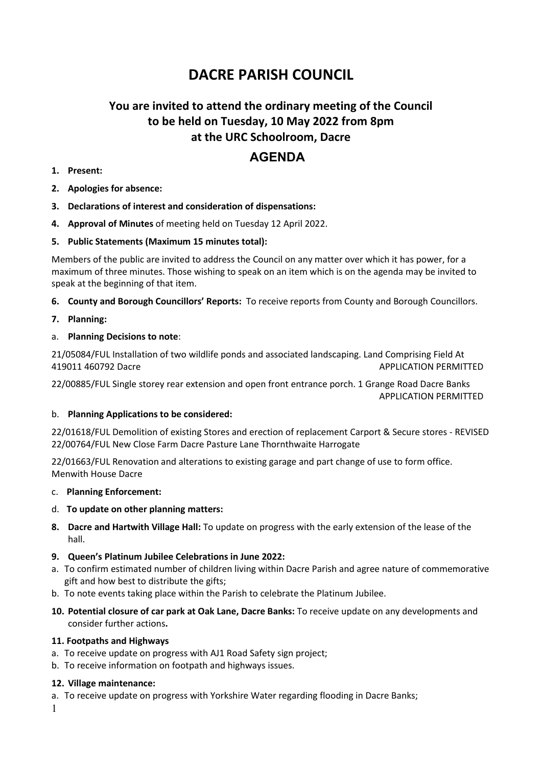# **DACRE PARISH COUNCIL**

## **You are invited to attend the ordinary meeting of the Council to be held on Tuesday, 10 May 2022 from 8pm at the URC Schoolroom, Dacre**

### **AGENDA**

- **1. Present:**
- **2. Apologies for absence:**
- **3. Declarations of interest and consideration of dispensations:**
- **4. Approval of Minutes** of meeting held on Tuesday 12 April 2022.
- **5. Public Statements (Maximum 15 minutes total):**

Members of the public are invited to address the Council on any matter over which it has power, for a maximum of three minutes. Those wishing to speak on an item which is on the agenda may be invited to speak at the beginning of that item.

- **6. County and Borough Councillors' Reports:** To receive reports from County and Borough Councillors.
- **7. Planning:**
- a. **Planning Decisions to note**:

21/05084/FUL Installation of two wildlife ponds and associated landscaping. Land Comprising Field At 419011 460792 Dacre APPLICATION PERMITTED

22/00885/FUL Single storey rear extension and open front entrance porch. 1 Grange Road Dacre Banks APPLICATION PERMITTED

#### b. **Planning Applications to be considered:**

22/01618/FUL Demolition of existing Stores and erection of replacement Carport & Secure stores - REVISED 22/00764/FUL New Close Farm Dacre Pasture Lane Thornthwaite Harrogate

22/01663/FUL Renovation and alterations to existing garage and part change of use to form office. Menwith House Dacre

- c. **Planning Enforcement:**
- d. **To update on other planning matters:**
- **8. Dacre and Hartwith Village Hall:** To update on progress with the early extension of the lease of the hall.
- **9. Queen's Platinum Jubilee Celebrations in June 2022:**
- a. To confirm estimated number of children living within Dacre Parish and agree nature of commemorative gift and how best to distribute the gifts;
- b. To note events taking place within the Parish to celebrate the Platinum Jubilee.
- **10. Potential closure of car park at Oak Lane, Dacre Banks:** To receive update on any developments and consider further actions**.**

#### **11. Footpaths and Highways**

- a. To receive update on progress with AJ1 Road Safety sign project;
- b. To receive information on footpath and highways issues.

#### **12. Village maintenance:**

- a. To receive update on progress with Yorkshire Water regarding flooding in Dacre Banks;
- 1